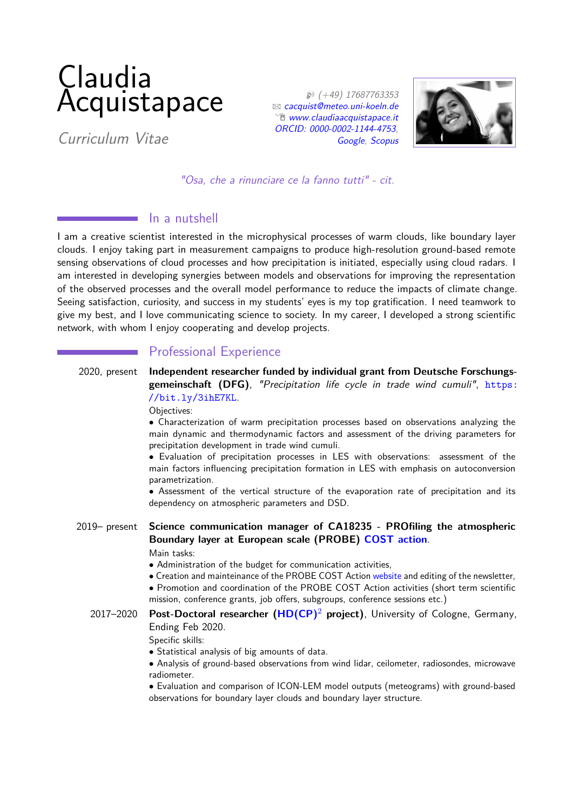# Claudia Acquistapace

Curriculum Vitae

 $$ ( +49) 17687763353$  $\boxtimes$  [cacquist@meteo.uni-koeln.de](mailto:cacquist@meteo.uni-koeln.de)  $^{\circ}$  [www.claudiaacquistapace.it](http://www.claudiaacquistapace.it) [ORCID: 0000-0002-1144-4753,](https://orcid.org/0000-0002-1144-4753) [Google,](https://scholar.google.com/citations?user=wBDHoG8AAAAJ&hl=enPeople) [Scopus](https://www.scopus.com/authid/detail.uri?authorId=56771374500)



"Osa, che a rinunciare ce la fanno tutti" - cit.

### In a nutshell

I am a creative scientist interested in the microphysical processes of warm clouds, like boundary layer clouds. I enjoy taking part in measurement campaigns to produce high-resolution ground-based remote sensing observations of cloud processes and how precipitation is initiated, especially using cloud radars. I am interested in developing synergies between models and observations for improving the representation of the observed processes and the overall model performance to reduce the impacts of climate change. Seeing satisfaction, curiosity, and success in my students' eyes is my top gratification. I need teamwork to give my best, and I love communicating science to society. In my career, I developed a strong scientific network, with whom I enjoy cooperating and develop projects.

# Professional Experience

2020, present **Independent researcher funded by individual grant from Deutsche Forschungsgemeinschaft (DFG)**, "Precipitation life cycle in trade wind cumuli", [https:](https://bit.ly/3ihE7KL) [//bit.ly/3ihE7KL](https://bit.ly/3ihE7KL).

Objectives:

• Characterization of warm precipitation processes based on observations analyzing the main dynamic and thermodynamic factors and assessment of the driving parameters for precipitation development in trade wind cumuli.

• Evaluation of precipitation processes in LES with observations: assessment of the main factors influencing precipitation formation in LES with emphasis on autoconversion parametrization.

• Assessment of the vertical structure of the evaporation rate of precipitation and its dependency on atmospheric parameters and DSD.

# 2019– present **Science communication manager of CA18235 - PROfiling the atmospheric Boundary layer at European scale (PROBE) [COST action](http://probe-cost.eu/)**.

Main tasks:

• Administration of the budget for communication activities,

- Creation and mainteinance of the PROBE COST Action [website](http://probe-cost.eu/) and editing of the newsletter,
- Promotion and coordination of the PROBE COST Action activities (short term scientific mission, conference grants, job offers, subgroups, conference sessions etc.)
- 2017–2020 **Post-Doctoral researcher [\(HD\(CP\)](https://hdcp2.zmaw.de/index.php?id=3744)**<sup>2</sup> **project)**, University of Cologne, Germany, Ending Feb 2020.

Specific skills:

• Statistical analysis of big amounts of data.

• Analysis of ground-based observations from wind lidar, ceilometer, radiosondes, microwave radiometer.

• Evaluation and comparison of ICON-LEM model outputs (meteograms) with ground-based observations for boundary layer clouds and boundary layer structure.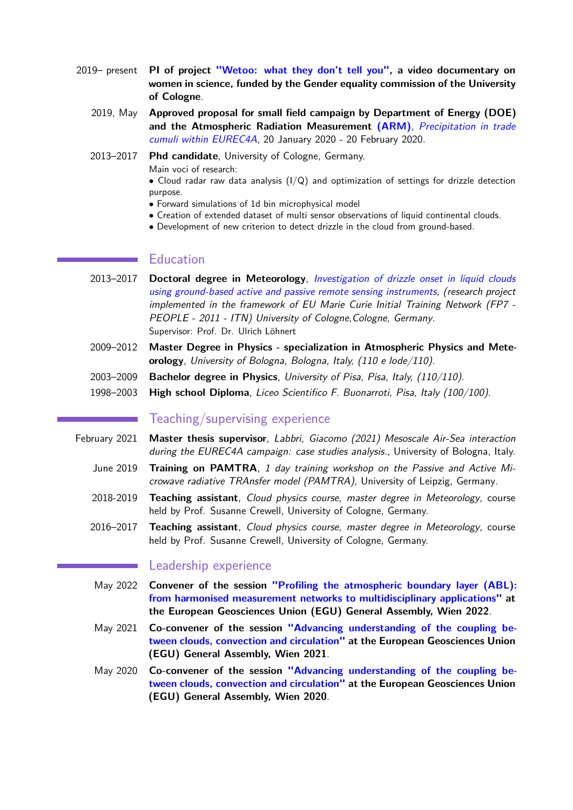- 2019– present **PI of project ["Wetoo: what they don't tell you",](https://www.claudiaacquistapace.it/index.php/activities/wetoo-what-they-don-t-tell-you) a video documentary on women in science, funded by the Gender equality commission of the University of Cologne**.
	- 2019, May **Approved proposal for small field campaign by Department of Energy (DOE) and the Atmospheric Radiation Measurement [\(ARM\)](https://www.arm.gov/policies/campaign-guidelines/small-campaigns)**, [Precipitation in trade](https://www.arm.gov/research/campaigns/amf2020eurec4asupport) [cumuli within EUREC4A](https://www.arm.gov/research/campaigns/amf2020eurec4asupport), 20 January 2020 - 20 February 2020.

2013–2017 **Phd candidate**, University of Cologne, Germany. Main voci of research:

• Cloud radar raw data analysis  $(I/Q)$  and optimization of settings for drizzle detection purpose.

- Forward simulations of 1d bin microphysical model
- Creation of extended dataset of multi sensor observations of liquid continental clouds.
- Development of new criterion to detect drizzle in the cloud from ground-based.

## **Education**

- 2013–2017 **Doctoral degree in Meteorology**, [Investigation of drizzle onset in liquid clouds](http://kups.ub.uni-koeln.de/7932/) [using ground-based active and passive remote sensing instruments,](http://kups.ub.uni-koeln.de/7932/) (research project implemented in the framework of EU Marie Curie Initial Training Network (FP7 - PEOPLE - 2011 - ITN) University of Cologne, Cologne, Germany. Supervisor: Prof. Dr. Ulrich Löhnert
- 2009–2012 **Master Degree in Physics specialization in Atmospheric Physics and Meteorology**, University of Bologna, Bologna, Italy, (110 e lode/110).
- 2003–2009 **Bachelor degree in Physics**, University of Pisa, Pisa, Italy, (110/110).
- 1998–2003 **High school Diploma**, Liceo Scientifico F. Buonarroti, Pisa, Italy (100/100).

### Teaching/supervising experience

- February 2021 **Master thesis supervisor**, Labbri, Giacomo (2021) Mesoscale Air-Sea interaction during the EUREC4A campaign: case studies analysis., University of Bologna, Italy.
	- June 2019 **Training on PAMTRA**, 1 day training workshop on the Passive and Active Microwave radiative TRAnsfer model (PAMTRA), University of Leipzig, Germany.
	- 2018-2019 **Teaching assistant**, Cloud physics course, master degree in Meteorology, course held by Prof. Susanne Crewell, University of Cologne, Germany.
	- 2016–2017 **Teaching assistant**, Cloud physics course, master degree in Meteorology, course held by Prof. Susanne Crewell, University of Cologne, Germany.

#### Leadership experience

- May 2022 **Convener of the session ["Profiling the atmospheric boundary layer \(ABL\):](https://meetingorganizer.copernicus.org/EGU22/session/43886) [from harmonised measurement networks to multidisciplinary applications"](https://meetingorganizer.copernicus.org/EGU22/session/43886) at the European Geosciences Union (EGU) General Assembly, Wien 2022**.
- May 2021 **Co-convener of the session ["Advancing understanding of the coupling be](https://meetingorganizer.copernicus.org/EGU22/session/43880)[tween clouds, convection and circulation"](https://meetingorganizer.copernicus.org/EGU22/session/43880) at the European Geosciences Union (EGU) General Assembly, Wien 2021**.
- May 2020 **Co-convener of the session ["Advancing understanding of the coupling be](https://meetingorganizer.copernicus.org/EGU2020/session/36892)[tween clouds, convection and circulation"](https://meetingorganizer.copernicus.org/EGU2020/session/36892) at the European Geosciences Union (EGU) General Assembly, Wien 2020**.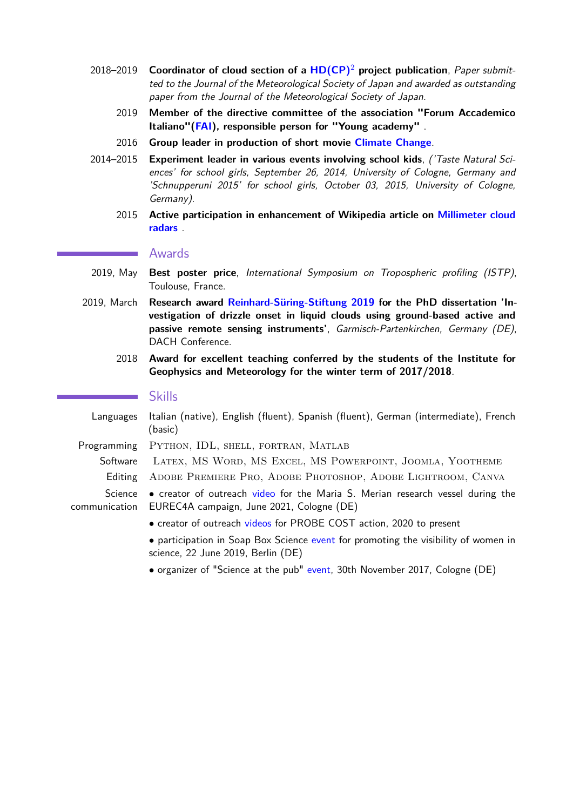- 2018–2019 **Coordinator of cloud section of a [HD\(CP\)](https://hdcp2.zmaw.de/index.php?id=3744)**<sup>2</sup> **project publication**, Paper submitted to the Journal of the Meteorological Society of Japan and awarded as outstanding paper from the Journal of the Meteorological Society of Japan.
	- 2019 **Member of the directive committee of the association "Forum Accademico Italiano"[\(FAI\)](http://fai.science/), responsible person for "Young academy"** .
	- 2016 **Group leader in production of short movie [Climate Change](https://www.youtube.com/watch?v=R9FPL4HdIrk)**.
- 2014–2015 **Experiment leader in various events involving school kids**, ('Taste Natural Sciences' for school girls, September 26, 2014, University of Cologne, Germany and 'Schnupperuni 2015' for school girls, October 03, 2015, University of Cologne, Germany).
	- 2015 **Active participation in enhancement of Wikipedia article on [Millimeter cloud](https://en.wikipedia.org/wiki/Millimeter_cloud_radar) [radars](https://en.wikipedia.org/wiki/Millimeter_cloud_radar)** .

#### Awards

- 2019, May **Best poster price**, International Symposium on Tropospheric profiling (ISTP), Toulouse, France.
- 2019, March **Research award [Reinhard-Süring-Stiftung 2019](https://www.rs-stiftung.org/f%C3%B6rderma%C3%9Fnahmen/) for the PhD dissertation 'Investigation of drizzle onset in liquid clouds using ground-based active and passive remote sensing instruments'**, Garmisch-Partenkirchen, Germany (DE), DACH Conference.
	- 2018 **Award for excellent teaching conferred by the students of the Institute for Geophysics and Meteorology for the winter term of 2017/2018**.

#### Skills

Languages Italian (native), English (fluent), Spanish (fluent), German (intermediate), French (basic) Programming PYTHON, IDL, SHELL, FORTRAN, MATLAB Software Latex, MS Word, MS Excel, MS Powerpoint, Joomla, Yootheme

Editing ADOBE PREMIERE PRO, ADOBE PHOTOSHOP, ADOBE LIGHTROOM, CANVA

- Science communication • creator of outreach [video](https://www.youtube.com/watch?v=EdWNS77qMNA) for the Maria S. Merian research vessel during the EUREC4A campaign, June 2021, Cologne (DE)
	- creator of outreach [videos](https://www.youtube.com/channel/UC46J4rAzbT1PbzRFHZMmHWA) for PROBE COST action, 2020 to present
	- participation in Soap Box Science [event](http://soapboxscience.org/soapbox-science-2019-berlin/) for promoting the visibility of women in science, 22 June 2019, Berlin (DE)
	- organizer of "Science at the pub" [event,](https://www.youtube.com/watch?v=vfyOyD4ONdA) 30th November 2017, Cologne (DE)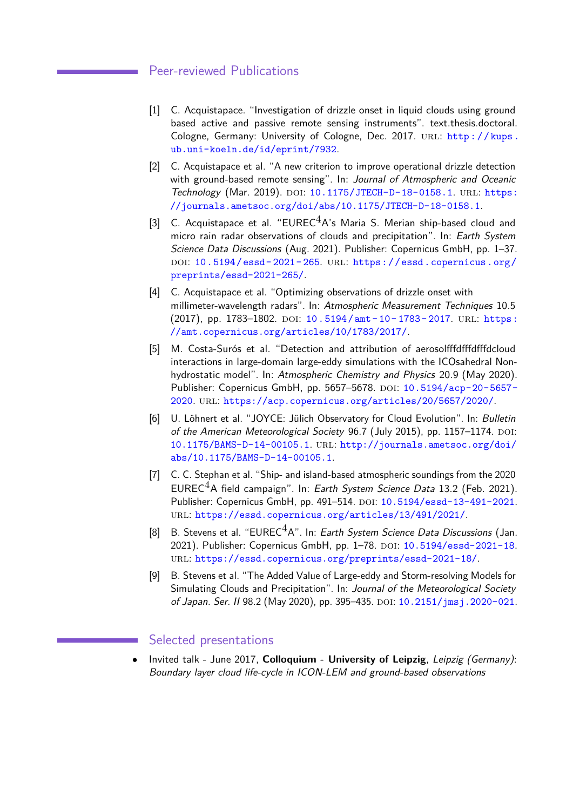#### Peer-reviewed Publications

- [1] C. Acquistapace. "Investigation of drizzle onset in liquid clouds using ground based active and passive remote sensing instruments". text.thesis.doctoral. Cologne, Germany: University of Cologne, Dec. 2017. URL: http://kups. [ub.uni-koeln.de/id/eprint/7932](http://kups.ub.uni-koeln.de/id/eprint/7932).
- [2] C. Acquistapace et al. "A new criterion to improve operational drizzle detection with ground-based remote sensing". In: Journal of Atmospheric and Oceanic Technology (Mar. 2019). DOI: [10.1175/JTECH-D-18-0158.1](http://dx.doi.org/10.1175/JTECH-D-18-0158.1). URL: [https:](https://journals.ametsoc.org/doi/abs/10.1175/JTECH-D-18-0158.1) [//journals.ametsoc.org/doi/abs/10.1175/JTECH-D-18-0158.1](https://journals.ametsoc.org/doi/abs/10.1175/JTECH-D-18-0158.1).
- [3] C. Acquistapace et al. "EUREC $4A$ 's Maria S. Merian ship-based cloud and micro rain radar observations of clouds and precipitation". In: Earth System Science Data Discussions (Aug. 2021). Publisher: Copernicus GmbH, pp. 1–37. DOI: 10.5194/essd-2021-265. URL: [https://essd.copernicus.org/](https://essd.copernicus.org/preprints/essd-2021-265/) [preprints/essd-2021-265/](https://essd.copernicus.org/preprints/essd-2021-265/).
- [4] C. Acquistapace et al. "Optimizing observations of drizzle onset with millimeter-wavelength radars". In: Atmospheric Measurement Techniques 10.5 (2017), pp. 1783–1802. DOI:  $10.5194/amt-10-1783-2017$ . URL: [https:](https://amt.copernicus.org/articles/10/1783/2017/) [//amt.copernicus.org/articles/10/1783/2017/](https://amt.copernicus.org/articles/10/1783/2017/).
- [5] M. Costa-Surós et al. "Detection and attribution of aerosolfffdfffdfffdcloud interactions in large-domain large-eddy simulations with the ICOsahedral Nonhydrostatic model". In: Atmospheric Chemistry and Physics 20.9 (May 2020). Publisher: Copernicus GmbH, pp. 5657-5678. DOI: [10.5194/acp-20-5657-](http://dx.doi.org/10.5194/acp-20-5657-2020) [2020](http://dx.doi.org/10.5194/acp-20-5657-2020). url: <https://acp.copernicus.org/articles/20/5657/2020/>.
- [6] U. Löhnert et al. "JOYCE: Jülich Observatory for Cloud Evolution". In: Bulletin of the American Meteorological Society 96.7 (July 2015), pp. 1157-1174. DOI: [10.1175/BAMS-D-14-00105.1](http://dx.doi.org/10.1175/BAMS-D-14-00105.1). url: [http://journals.ametsoc.org/doi/](http://journals.ametsoc.org/doi/abs/10.1175/BAMS-D-14-00105.1) [abs/10.1175/BAMS-D-14-00105.1](http://journals.ametsoc.org/doi/abs/10.1175/BAMS-D-14-00105.1).
- [7] C. C. Stephan et al. "Ship- and island-based atmospheric soundings from the 2020 EUREC<sup>4</sup>A field campaign". In: Earth System Science Data 13.2 (Feb. 2021). Publisher: Copernicus GmbH, pp. 491-514. DOI: [10.5194/essd-13-491-2021](http://dx.doi.org/10.5194/essd-13-491-2021). url: <https://essd.copernicus.org/articles/13/491/2021/>.
- [8] B. Stevens et al. "EUREC $<sup>4</sup>A$ ". In: Earth System Science Data Discussions (Jan.</sup> 2021). Publisher: Copernicus GmbH, pp. 1-78. DOI: [10.5194/essd-2021-18](http://dx.doi.org/10.5194/essd-2021-18). url: <https://essd.copernicus.org/preprints/essd-2021-18/>.
- [9] B. Stevens et al. "The Added Value of Large-eddy and Storm-resolving Models for Simulating Clouds and Precipitation". In: Journal of the Meteorological Society of Japan. Ser. II 98.2 (May 2020), pp. 395-435. DOI: [10.2151/jmsj.2020-021](http://dx.doi.org/10.2151/jmsj.2020-021).

#### Selected presentations

• Invited talk - June 2017, **Colloquium - University of Leipzig**, Leipzig (Germany): Boundary layer cloud life-cycle in ICON-LEM and ground-based observations